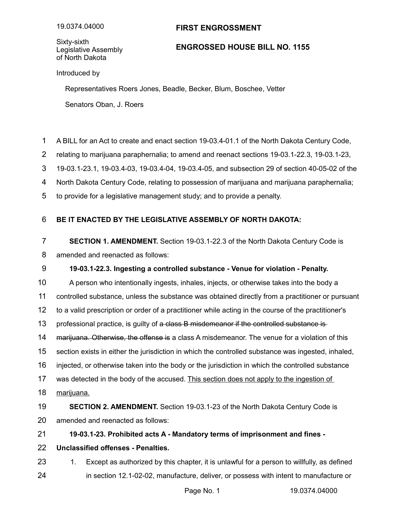## **FIRST ENGROSSMENT**

Sixty-sixth Legislative Assembly of North Dakota

## **ENGROSSED HOUSE BILL NO. 1155**

Introduced by

Representatives Roers Jones, Beadle, Becker, Blum, Boschee, Vetter Senators Oban, J. Roers

A BILL for an Act to create and enact section 19-03.4-01.1 of the North Dakota Century Code, 1

relating to marijuana paraphernalia; to amend and reenact sections 19-03.1-22.3, 19-03.1-23, 2

19-03.1-23.1, 19-03.4-03, 19-03.4-04, 19-03.4-05, and subsection 29 of section 40-05-02 of the 3

North Dakota Century Code, relating to possession of marijuana and marijuana paraphernalia; 4

to provide for a legislative management study; and to provide a penalty. 5

## **BE IT ENACTED BY THE LEGISLATIVE ASSEMBLY OF NORTH DAKOTA:** 6

**SECTION 1. AMENDMENT.** Section 19-03.1-22.3 of the North Dakota Century Code is amended and reenacted as follows: 7 8

## **19-03.1-22.3. Ingesting a controlled substance - Venue for violation - Penalty.** 9

A person who intentionally ingests, inhales, injects, or otherwise takes into the body a controlled substance, unless the substance was obtained directly from a practitioner or pursuant to a valid prescription or order of a practitioner while acting in the course of the practitioner's professional practice, is guilty of a class B misdemeanor if the controlled substance is marijuana. Otherwise, the offense is a class A misdemeanor. The venue for a violation of this section exists in either the jurisdiction in which the controlled substance was ingested, inhaled, injected, or otherwise taken into the body or the jurisdiction in which the controlled substance was detected in the body of the accused. This section does not apply to the ingestion of marijuana. **SECTION 2. AMENDMENT.** Section 19-03.1-23 of the North Dakota Century Code is amended and reenacted as follows: **19-03.1-23. Prohibited acts A - Mandatory terms of imprisonment and fines -** 10 11 12 13 14 15 16 17 18 19 20 21

**Unclassified offenses - Penalties.** 22

1. Except as authorized by this chapter, it is unlawful for a person to willfully, as defined in section 12.1-02-02, manufacture, deliver, or possess with intent to manufacture or 23 24

Page No. 1 19.0374.04000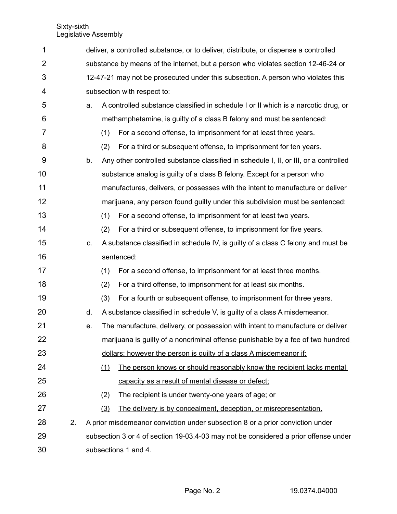| 1  |    | deliver, a controlled substance, or to deliver, distribute, or dispense a controlled |                                                                                   |                                                                                      |  |  |
|----|----|--------------------------------------------------------------------------------------|-----------------------------------------------------------------------------------|--------------------------------------------------------------------------------------|--|--|
| 2  |    |                                                                                      | substance by means of the internet, but a person who violates section 12-46-24 or |                                                                                      |  |  |
| 3  |    |                                                                                      | 12-47-21 may not be prosecuted under this subsection. A person who violates this  |                                                                                      |  |  |
| 4  |    |                                                                                      |                                                                                   | subsection with respect to:                                                          |  |  |
| 5  |    | a.                                                                                   |                                                                                   | A controlled substance classified in schedule I or II which is a narcotic drug, or   |  |  |
| 6  |    |                                                                                      |                                                                                   | methamphetamine, is guilty of a class B felony and must be sentenced:                |  |  |
| 7  |    |                                                                                      | (1)                                                                               | For a second offense, to imprisonment for at least three years.                      |  |  |
| 8  |    |                                                                                      | (2)                                                                               | For a third or subsequent offense, to imprisonment for ten years.                    |  |  |
| 9  |    | b.                                                                                   |                                                                                   | Any other controlled substance classified in schedule I, II, or III, or a controlled |  |  |
| 10 |    |                                                                                      |                                                                                   | substance analog is guilty of a class B felony. Except for a person who              |  |  |
| 11 |    |                                                                                      |                                                                                   | manufactures, delivers, or possesses with the intent to manufacture or deliver       |  |  |
| 12 |    |                                                                                      |                                                                                   | marijuana, any person found guilty under this subdivision must be sentenced:         |  |  |
| 13 |    |                                                                                      | (1)                                                                               | For a second offense, to imprisonment for at least two years.                        |  |  |
| 14 |    |                                                                                      | (2)                                                                               | For a third or subsequent offense, to imprisonment for five years.                   |  |  |
| 15 |    | C.                                                                                   |                                                                                   | A substance classified in schedule IV, is guilty of a class C felony and must be     |  |  |
| 16 |    |                                                                                      |                                                                                   | sentenced:                                                                           |  |  |
| 17 |    |                                                                                      | (1)                                                                               | For a second offense, to imprisonment for at least three months.                     |  |  |
| 18 |    |                                                                                      | (2)                                                                               | For a third offense, to imprisonment for at least six months.                        |  |  |
| 19 |    |                                                                                      | (3)                                                                               | For a fourth or subsequent offense, to imprisonment for three years.                 |  |  |
| 20 |    | d.                                                                                   |                                                                                   | A substance classified in schedule V, is guilty of a class A misdemeanor.            |  |  |
| 21 |    | <u>e.</u>                                                                            |                                                                                   | The manufacture, delivery, or possession with intent to manufacture or deliver       |  |  |
| 22 |    |                                                                                      |                                                                                   | marijuana is guilty of a noncriminal offense punishable by a fee of two hundred      |  |  |
| 23 |    |                                                                                      |                                                                                   | dollars; however the person is guilty of a class A misdemeanor if:                   |  |  |
| 24 |    |                                                                                      | (1)                                                                               | The person knows or should reasonably know the recipient lacks mental                |  |  |
| 25 |    |                                                                                      |                                                                                   | capacity as a result of mental disease or defect;                                    |  |  |
| 26 |    |                                                                                      | (2)                                                                               | The recipient is under twenty-one years of age; or                                   |  |  |
| 27 |    |                                                                                      | (3)                                                                               | The delivery is by concealment, deception, or misrepresentation.                     |  |  |
| 28 | 2. |                                                                                      |                                                                                   | A prior misdemeanor conviction under subsection 8 or a prior conviction under        |  |  |
| 29 |    |                                                                                      |                                                                                   | subsection 3 or 4 of section 19-03.4-03 may not be considered a prior offense under  |  |  |
| 30 |    |                                                                                      |                                                                                   | subsections 1 and 4.                                                                 |  |  |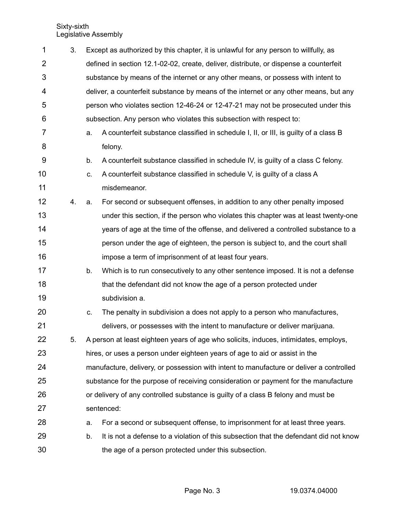| $\mathbf 1$    | 3. | Except as authorized by this chapter, it is unlawful for any person to willfully, as    |                                                                                       |  |  |  |  |
|----------------|----|-----------------------------------------------------------------------------------------|---------------------------------------------------------------------------------------|--|--|--|--|
| $\overline{2}$ |    |                                                                                         | defined in section 12.1-02-02, create, deliver, distribute, or dispense a counterfeit |  |  |  |  |
| 3              |    |                                                                                         | substance by means of the internet or any other means, or possess with intent to      |  |  |  |  |
| 4              |    |                                                                                         | deliver, a counterfeit substance by means of the internet or any other means, but any |  |  |  |  |
| 5              |    |                                                                                         | person who violates section 12-46-24 or 12-47-21 may not be prosecuted under this     |  |  |  |  |
| 6              |    |                                                                                         | subsection. Any person who violates this subsection with respect to:                  |  |  |  |  |
| 7              |    | a.                                                                                      | A counterfeit substance classified in schedule I, II, or III, is guilty of a class B  |  |  |  |  |
| 8              |    |                                                                                         | felony.                                                                               |  |  |  |  |
| 9              |    | b.                                                                                      | A counterfeit substance classified in schedule IV, is guilty of a class C felony.     |  |  |  |  |
| 10             |    | C.                                                                                      | A counterfeit substance classified in schedule V, is guilty of a class A              |  |  |  |  |
| 11             |    |                                                                                         | misdemeanor.                                                                          |  |  |  |  |
| 12             | 4. | a.                                                                                      | For second or subsequent offenses, in addition to any other penalty imposed           |  |  |  |  |
| 13             |    |                                                                                         | under this section, if the person who violates this chapter was at least twenty-one   |  |  |  |  |
| 14             |    |                                                                                         | years of age at the time of the offense, and delivered a controlled substance to a    |  |  |  |  |
| 15             |    |                                                                                         | person under the age of eighteen, the person is subject to, and the court shall       |  |  |  |  |
| 16             |    |                                                                                         | impose a term of imprisonment of at least four years.                                 |  |  |  |  |
| 17             |    | b.                                                                                      | Which is to run consecutively to any other sentence imposed. It is not a defense      |  |  |  |  |
| 18             |    |                                                                                         | that the defendant did not know the age of a person protected under                   |  |  |  |  |
| 19             |    |                                                                                         | subdivision a.                                                                        |  |  |  |  |
| 20             |    | C.                                                                                      | The penalty in subdivision a does not apply to a person who manufactures,             |  |  |  |  |
| 21             |    |                                                                                         | delivers, or possesses with the intent to manufacture or deliver marijuana.           |  |  |  |  |
| 22             | 5. |                                                                                         | A person at least eighteen years of age who solicits, induces, intimidates, employs,  |  |  |  |  |
| 23             |    |                                                                                         | hires, or uses a person under eighteen years of age to aid or assist in the           |  |  |  |  |
| 24             |    | manufacture, delivery, or possession with intent to manufacture or deliver a controlled |                                                                                       |  |  |  |  |
| 25             |    | substance for the purpose of receiving consideration or payment for the manufacture     |                                                                                       |  |  |  |  |
| 26             |    |                                                                                         | or delivery of any controlled substance is guilty of a class B felony and must be     |  |  |  |  |
| 27             |    | sentenced:                                                                              |                                                                                       |  |  |  |  |
| 28             |    | а.                                                                                      | For a second or subsequent offense, to imprisonment for at least three years.         |  |  |  |  |
| 29             |    | b.                                                                                      | It is not a defense to a violation of this subsection that the defendant did not know |  |  |  |  |
| 30             |    |                                                                                         | the age of a person protected under this subsection.                                  |  |  |  |  |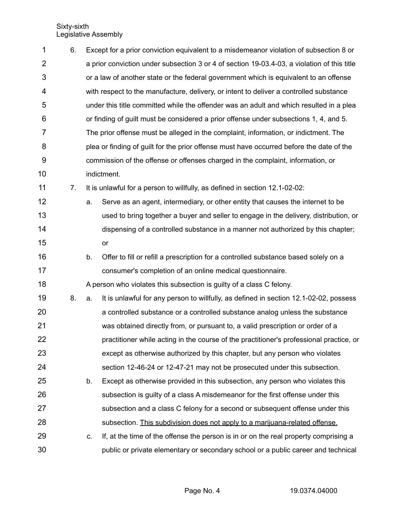| 1              | 6. |    | Except for a prior conviction equivalent to a misdemeanor violation of subsection 8 or      |  |  |  |  |
|----------------|----|----|---------------------------------------------------------------------------------------------|--|--|--|--|
| $\overline{2}$ |    |    | a prior conviction under subsection 3 or 4 of section 19-03.4-03, a violation of this title |  |  |  |  |
| $\mathbf{3}$   |    |    | or a law of another state or the federal government which is equivalent to an offense       |  |  |  |  |
| 4              |    |    | with respect to the manufacture, delivery, or intent to deliver a controlled substance      |  |  |  |  |
| 5              |    |    | under this title committed while the offender was an adult and which resulted in a plea     |  |  |  |  |
| 6              |    |    | or finding of guilt must be considered a prior offense under subsections 1, 4, and 5.       |  |  |  |  |
| 7              |    |    | The prior offense must be alleged in the complaint, information, or indictment. The         |  |  |  |  |
| 8              |    |    | plea or finding of guilt for the prior offense must have occurred before the date of the    |  |  |  |  |
| $9\,$          |    |    | commission of the offense or offenses charged in the complaint, information, or             |  |  |  |  |
| 10             |    |    | indictment.                                                                                 |  |  |  |  |
| 11             | 7. |    | It is unlawful for a person to willfully, as defined in section 12.1-02-02:                 |  |  |  |  |
| 12             |    | a. | Serve as an agent, intermediary, or other entity that causes the internet to be             |  |  |  |  |
| 13             |    |    | used to bring together a buyer and seller to engage in the delivery, distribution, or       |  |  |  |  |
| 14             |    |    | dispensing of a controlled substance in a manner not authorized by this chapter;            |  |  |  |  |
| 15             |    |    | or                                                                                          |  |  |  |  |
| 16             |    | b. | Offer to fill or refill a prescription for a controlled substance based solely on a         |  |  |  |  |
| 17             |    |    | consumer's completion of an online medical questionnaire.                                   |  |  |  |  |
| 18             |    |    | A person who violates this subsection is guilty of a class C felony.                        |  |  |  |  |
| 19             | 8. | a. | It is unlawful for any person to willfully, as defined in section 12.1-02-02, possess       |  |  |  |  |
| 20             |    |    | a controlled substance or a controlled substance analog unless the substance                |  |  |  |  |
| 21             |    |    | was obtained directly from, or pursuant to, a valid prescription or order of a              |  |  |  |  |
| 22             |    |    | practitioner while acting in the course of the practitioner's professional practice, or     |  |  |  |  |
| 23             |    |    | except as otherwise authorized by this chapter, but any person who violates                 |  |  |  |  |
| 24             |    |    | section 12-46-24 or 12-47-21 may not be prosecuted under this subsection.                   |  |  |  |  |
| 25             |    | b. | Except as otherwise provided in this subsection, any person who violates this               |  |  |  |  |
| 26             |    |    | subsection is guilty of a class A misdemeanor for the first offense under this              |  |  |  |  |
| 27             |    |    | subsection and a class C felony for a second or subsequent offense under this               |  |  |  |  |
| 28             |    |    | subsection. This subdivision does not apply to a marijuana-related offense.                 |  |  |  |  |
| 29             |    | C. | If, at the time of the offense the person is in or on the real property comprising a        |  |  |  |  |
| 30             |    |    | public or private elementary or secondary school or a public career and technical           |  |  |  |  |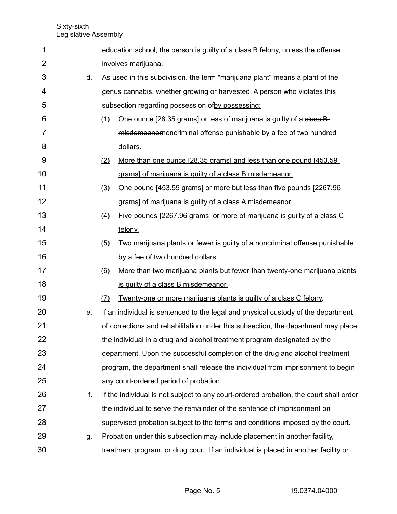| 1              |    |     | education school, the person is guilty of a class B felony, unless the offense         |
|----------------|----|-----|----------------------------------------------------------------------------------------|
| $\overline{2}$ |    |     | involves marijuana.                                                                    |
| 3              | d. |     | As used in this subdivision, the term "marijuana plant" means a plant of the           |
| 4              |    |     | genus cannabis, whether growing or harvested. A person who violates this               |
| 5              |    |     | subsection regarding possession of by possessing:                                      |
| 6              |    | (1) | One ounce [28.35 grams] or less of marijuana is guilty of a class B-                   |
| 7              |    |     | misdemeanornoncriminal offense punishable by a fee of two hundred                      |
| 8              |    |     | dollars.                                                                               |
| 9              |    | (2) | More than one ounce [28.35 grams] and less than one pound [453.59]                     |
| 10             |    |     | grams] of marijuana is guilty of a class B misdemeanor.                                |
| 11             |    | (3) | One pound [453.59 grams] or more but less than five pounds [2267.96                    |
| 12             |    |     | grams] of marijuana is guilty of a class A misdemeanor.                                |
| 13             |    | (4) | Five pounds [2267.96 grams] or more of marijuana is guilty of a class C                |
| 14             |    |     | felony.                                                                                |
| 15             |    | (5) | Two marijuana plants or fewer is guilty of a noncriminal offense punishable            |
| 16             |    |     | by a fee of two hundred dollars.                                                       |
| 17             |    | (6) | More than two marijuana plants but fewer than twenty-one marijuana plants              |
| 18             |    |     | is guilty of a class B misdemeanor.                                                    |
| 19             |    | (7) | <u>Twenty-one or more marijuana plants is guilty of a class C felony.</u>              |
| 20             | e. |     | If an individual is sentenced to the legal and physical custody of the department      |
| 21             |    |     | of corrections and rehabilitation under this subsection, the department may place      |
| 22             |    |     | the individual in a drug and alcohol treatment program designated by the               |
| 23             |    |     | department. Upon the successful completion of the drug and alcohol treatment           |
| 24             |    |     | program, the department shall release the individual from imprisonment to begin        |
| 25             |    |     | any court-ordered period of probation.                                                 |
| 26             | f. |     | If the individual is not subject to any court-ordered probation, the court shall order |
| 27             |    |     | the individual to serve the remainder of the sentence of imprisonment on               |
| 28             |    |     | supervised probation subject to the terms and conditions imposed by the court.         |
| 29             | g. |     | Probation under this subsection may include placement in another facility,             |
| 30             |    |     | treatment program, or drug court. If an individual is placed in another facility or    |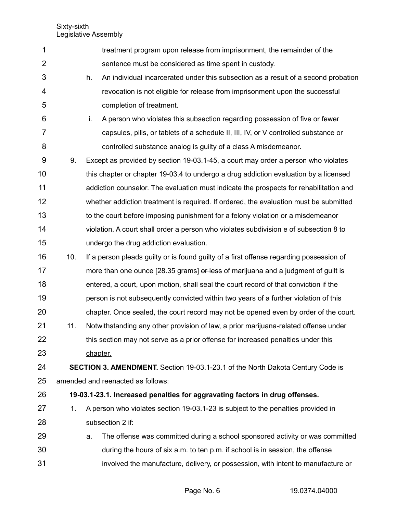| 1              |            |          | treatment program upon release from imprisonment, the remainder of the                  |
|----------------|------------|----------|-----------------------------------------------------------------------------------------|
| $\overline{2}$ |            |          | sentence must be considered as time spent in custody.                                   |
| 3              |            | h.       | An individual incarcerated under this subsection as a result of a second probation      |
| 4              |            |          | revocation is not eligible for release from imprisonment upon the successful            |
| 5              |            |          | completion of treatment.                                                                |
| 6              |            | i.       | A person who violates this subsection regarding possession of five or fewer             |
| $\overline{7}$ |            |          | capsules, pills, or tablets of a schedule II, III, IV, or V controlled substance or     |
| 8              |            |          | controlled substance analog is guilty of a class A misdemeanor.                         |
| 9              | 9.         |          | Except as provided by section 19-03.1-45, a court may order a person who violates       |
| 10             |            |          | this chapter or chapter 19-03.4 to undergo a drug addiction evaluation by a licensed    |
| 11             |            |          | addiction counselor. The evaluation must indicate the prospects for rehabilitation and  |
| 12             |            |          | whether addiction treatment is required. If ordered, the evaluation must be submitted   |
| 13             |            |          | to the court before imposing punishment for a felony violation or a misdemeanor         |
| 14             |            |          | violation. A court shall order a person who violates subdivision e of subsection 8 to   |
| 15             |            |          | undergo the drug addiction evaluation.                                                  |
| 16             | 10.        |          | If a person pleads guilty or is found guilty of a first offense regarding possession of |
| 17             |            |          | more than one ounce [28.35 grams] or less of marijuana and a judgment of guilt is       |
| 18             |            |          | entered, a court, upon motion, shall seal the court record of that conviction if the    |
| 19             |            |          | person is not subsequently convicted within two years of a further violation of this    |
| 20             |            |          | chapter. Once sealed, the court record may not be opened even by order of the court.    |
| 21             | <u>11.</u> |          | Notwithstanding any other provision of law, a prior marijuana-related offense under     |
| 22             |            |          | this section may not serve as a prior offense for increased penalties under this        |
| 23             |            | chapter. |                                                                                         |
| 24             |            |          | <b>SECTION 3. AMENDMENT.</b> Section 19-03.1-23.1 of the North Dakota Century Code is   |
| 25             |            |          | amended and reenacted as follows:                                                       |
| 26             |            |          | 19-03.1-23.1. Increased penalties for aggravating factors in drug offenses.             |
| 27             | 1.         |          | A person who violates section 19-03.1-23 is subject to the penalties provided in        |
| 28             |            |          | subsection 2 if:                                                                        |
| 29             |            | a.       | The offense was committed during a school sponsored activity or was committed           |
| 30             |            |          | during the hours of six a.m. to ten p.m. if school is in session, the offense           |
| 31             |            |          | involved the manufacture, delivery, or possession, with intent to manufacture or        |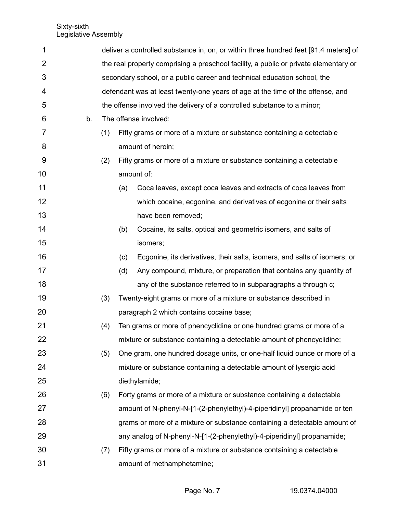| 1  |    |     |                                                                                      | deliver a controlled substance in, on, or within three hundred feet [91.4 meters] of |  |  |  |
|----|----|-----|--------------------------------------------------------------------------------------|--------------------------------------------------------------------------------------|--|--|--|
| 2  |    |     | the real property comprising a preschool facility, a public or private elementary or |                                                                                      |  |  |  |
| 3  |    |     | secondary school, or a public career and technical education school, the             |                                                                                      |  |  |  |
| 4  |    |     |                                                                                      | defendant was at least twenty-one years of age at the time of the offense, and       |  |  |  |
| 5  |    |     |                                                                                      | the offense involved the delivery of a controlled substance to a minor;              |  |  |  |
| 6  | b. |     |                                                                                      | The offense involved:                                                                |  |  |  |
| 7  |    | (1) |                                                                                      | Fifty grams or more of a mixture or substance containing a detectable                |  |  |  |
| 8  |    |     |                                                                                      | amount of heroin;                                                                    |  |  |  |
| 9  |    | (2) |                                                                                      | Fifty grams or more of a mixture or substance containing a detectable                |  |  |  |
| 10 |    |     |                                                                                      | amount of:                                                                           |  |  |  |
| 11 |    |     | (a)                                                                                  | Coca leaves, except coca leaves and extracts of coca leaves from                     |  |  |  |
| 12 |    |     |                                                                                      | which cocaine, ecgonine, and derivatives of ecgonine or their salts                  |  |  |  |
| 13 |    |     |                                                                                      | have been removed;                                                                   |  |  |  |
| 14 |    |     | (b)                                                                                  | Cocaine, its salts, optical and geometric isomers, and salts of                      |  |  |  |
| 15 |    |     |                                                                                      | isomers;                                                                             |  |  |  |
| 16 |    |     | (c)                                                                                  | Ecgonine, its derivatives, their salts, isomers, and salts of isomers; or            |  |  |  |
| 17 |    |     | (d)                                                                                  | Any compound, mixture, or preparation that contains any quantity of                  |  |  |  |
| 18 |    |     |                                                                                      | any of the substance referred to in subparagraphs a through c;                       |  |  |  |
| 19 |    | (3) |                                                                                      | Twenty-eight grams or more of a mixture or substance described in                    |  |  |  |
| 20 |    |     |                                                                                      | paragraph 2 which contains cocaine base;                                             |  |  |  |
| 21 |    | (4) |                                                                                      | Ten grams or more of phencyclidine or one hundred grams or more of a                 |  |  |  |
| 22 |    |     |                                                                                      | mixture or substance containing a detectable amount of phencyclidine;                |  |  |  |
| 23 |    | (5) |                                                                                      | One gram, one hundred dosage units, or one-half liquid ounce or more of a            |  |  |  |
| 24 |    |     |                                                                                      | mixture or substance containing a detectable amount of lysergic acid                 |  |  |  |
| 25 |    |     |                                                                                      | diethylamide;                                                                        |  |  |  |
| 26 |    | (6) |                                                                                      | Forty grams or more of a mixture or substance containing a detectable                |  |  |  |
| 27 |    |     |                                                                                      | amount of N-phenyl-N-[1-(2-phenylethyl)-4-piperidinyl] propanamide or ten            |  |  |  |
| 28 |    |     |                                                                                      | grams or more of a mixture or substance containing a detectable amount of            |  |  |  |
| 29 |    |     |                                                                                      | any analog of N-phenyl-N-[1-(2-phenylethyl)-4-piperidinyl] propanamide;              |  |  |  |
| 30 |    | (7) |                                                                                      | Fifty grams or more of a mixture or substance containing a detectable                |  |  |  |
| 31 |    |     |                                                                                      | amount of methamphetamine;                                                           |  |  |  |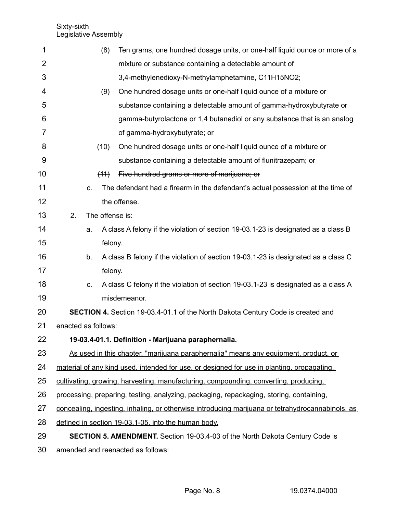| 1  | (8)                                                                                     | Ten grams, one hundred dosage units, or one-half liquid ounce or more of a                       |  |  |  |
|----|-----------------------------------------------------------------------------------------|--------------------------------------------------------------------------------------------------|--|--|--|
| 2  |                                                                                         | mixture or substance containing a detectable amount of                                           |  |  |  |
| 3  |                                                                                         | 3,4-methylenedioxy-N-methylamphetamine, C11H15NO2;                                               |  |  |  |
| 4  | (9)                                                                                     | One hundred dosage units or one-half liquid ounce of a mixture or                                |  |  |  |
| 5  |                                                                                         | substance containing a detectable amount of gamma-hydroxybutyrate or                             |  |  |  |
| 6  |                                                                                         | gamma-butyrolactone or 1,4 butanediol or any substance that is an analog                         |  |  |  |
| 7  |                                                                                         | of gamma-hydroxybutyrate; or                                                                     |  |  |  |
| 8  | (10)                                                                                    | One hundred dosage units or one-half liquid ounce of a mixture or                                |  |  |  |
| 9  |                                                                                         | substance containing a detectable amount of flunitrazepam; or                                    |  |  |  |
| 10 | (11)                                                                                    | Five hundred grams or more of marijuana; or                                                      |  |  |  |
| 11 | C.                                                                                      | The defendant had a firearm in the defendant's actual possession at the time of                  |  |  |  |
| 12 |                                                                                         | the offense.                                                                                     |  |  |  |
| 13 | The offense is:<br>2.                                                                   |                                                                                                  |  |  |  |
| 14 | a.                                                                                      | A class A felony if the violation of section 19-03.1-23 is designated as a class B               |  |  |  |
| 15 | felony.                                                                                 |                                                                                                  |  |  |  |
| 16 | b.                                                                                      | A class B felony if the violation of section 19-03.1-23 is designated as a class C               |  |  |  |
| 17 | felony.                                                                                 |                                                                                                  |  |  |  |
| 18 | C.                                                                                      | A class C felony if the violation of section 19-03.1-23 is designated as a class A               |  |  |  |
| 19 |                                                                                         | misdemeanor.                                                                                     |  |  |  |
| 20 |                                                                                         | <b>SECTION 4.</b> Section 19-03.4-01.1 of the North Dakota Century Code is created and           |  |  |  |
| 21 | enacted as follows:                                                                     |                                                                                                  |  |  |  |
| 22 |                                                                                         | 19-03.4-01.1. Definition - Marijuana paraphernalia.                                              |  |  |  |
| 23 |                                                                                         | As used in this chapter, "marijuana paraphernalia" means any equipment, product, or              |  |  |  |
| 24 |                                                                                         | material of any kind used, intended for use, or designed for use in planting, propagating,       |  |  |  |
| 25 |                                                                                         | cultivating, growing, harvesting, manufacturing, compounding, converting, producing,             |  |  |  |
| 26 | processing, preparing, testing, analyzing, packaging, repackaging, storing, containing, |                                                                                                  |  |  |  |
| 27 |                                                                                         | concealing, ingesting, inhaling, or otherwise introducing marijuana or tetrahydrocannabinols, as |  |  |  |
| 28 |                                                                                         | defined in section 19-03.1-05, into the human body.                                              |  |  |  |
| 29 |                                                                                         | <b>SECTION 5. AMENDMENT.</b> Section 19-03.4-03 of the North Dakota Century Code is              |  |  |  |

amended and reenacted as follows: 30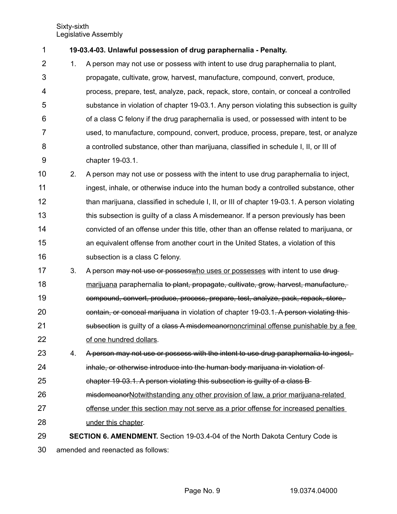**19-03.4-03. Unlawful possession of drug paraphernalia - Penalty.** 1

1. A person may not use or possess with intent to use drug paraphernalia to plant, propagate, cultivate, grow, harvest, manufacture, compound, convert, produce, process, prepare, test, analyze, pack, repack, store, contain, or conceal a controlled substance in violation of chapter 19-03.1. Any person violating this subsection is guilty of a class C felony if the drug paraphernalia is used, or possessed with intent to be used, to manufacture, compound, convert, produce, process, prepare, test, or analyze a controlled substance, other than marijuana, classified in schedule I, II, or III of chapter 19-03.1. 2 3 4 5 6 7 8 9

- 2. A person may not use or possess with the intent to use drug paraphernalia to inject, ingest, inhale, or otherwise induce into the human body a controlled substance, other than marijuana, classified in schedule I, II, or III of chapter 19-03.1. A person violating this subsection is guilty of a class A misdemeanor. If a person previously has been convicted of an offense under this title, other than an offense related to marijuana, or an equivalent offense from another court in the United States, a violation of this subsection is a class C felony. 10 11 12 13 14 15 16
- 3. A person may not use or possesswho uses or possesses with intent to use drugmarijuana paraphernalia to plant, propagate, cultivate, grow, harvest, manufacture, compound, convert, produce, process, prepare, test, analyze, pack, repack, store, contain, or conceal marijuana in violation of chapter 19-03.1. A person violating this subsection is guilty of a class A misdemeanornoncriminal offense punishable by a fee of one hundred dollars. 17 18 19 20 21 22
- 4. A person may not use or possess with the intent to use drug paraphernalia to ingest, inhale, or otherwise introduce into the human body marijuana in violation of 23 24
- chapter 19-03.1. A person violating this subsection is guilty of a class B 25
- misdemeanorNotwithstanding any other provision of law, a prior marijuana-related 26
- offense under this section may not serve as a prior offense for increased penalties under this chapter. 27 28
- **SECTION 6. AMENDMENT.** Section 19-03.4-04 of the North Dakota Century Code is 29

amended and reenacted as follows: 30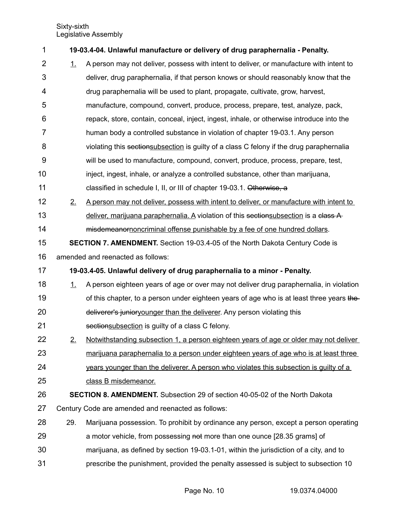| 1              |           | 19-03.4-04. Unlawful manufacture or delivery of drug paraphernalia - Penalty.            |
|----------------|-----------|------------------------------------------------------------------------------------------|
| $\overline{2}$ | 1.        | A person may not deliver, possess with intent to deliver, or manufacture with intent to  |
| 3              |           | deliver, drug paraphernalia, if that person knows or should reasonably know that the     |
| 4              |           | drug paraphernalia will be used to plant, propagate, cultivate, grow, harvest,           |
| 5              |           | manufacture, compound, convert, produce, process, prepare, test, analyze, pack,          |
| 6              |           | repack, store, contain, conceal, inject, ingest, inhale, or otherwise introduce into the |
| 7              |           | human body a controlled substance in violation of chapter 19-03.1. Any person            |
| 8              |           | violating this sectionsubsection is guilty of a class C felony if the drug paraphernalia |
| 9              |           | will be used to manufacture, compound, convert, produce, process, prepare, test,         |
| 10             |           | inject, ingest, inhale, or analyze a controlled substance, other than marijuana,         |
| 11             |           | classified in schedule I, II, or III of chapter 19-03.1. Otherwise, a                    |
| 12             | 2.        | A person may not deliver, possess with intent to deliver, or manufacture with intent to  |
| 13             |           | deliver, marijuana paraphernalia. A violation of this sectionsubsection is a class A     |
| 14             |           | misdemeanorponcriminal offense punishable by a fee of one hundred dollars.               |
| 15             |           | <b>SECTION 7. AMENDMENT.</b> Section 19-03.4-05 of the North Dakota Century Code is      |
| 16             |           | amended and reenacted as follows:                                                        |
| 17             |           | 19-03.4-05. Unlawful delivery of drug paraphernalia to a minor - Penalty.                |
| 18             | 1         | A person eighteen years of age or over may not deliver drug paraphernalia, in violation  |
| 19             |           | of this chapter, to a person under eighteen years of age who is at least three years the |
| 20             |           | deliverer's junioryounger than the deliverer. Any person violating this                  |
| 21             |           | sectionsubsection is guilty of a class C felony.                                         |
| 22             | <u>2.</u> | Notwithstanding subsection 1, a person eighteen years of age or older may not deliver    |
| 23             |           | marijuana paraphernalia to a person under eighteen years of age who is at least three    |
| 24             |           | years younger than the deliverer. A person who violates this subsection is guilty of a   |
| 25             |           | class B misdemeanor.                                                                     |
| 26             |           | <b>SECTION 8. AMENDMENT.</b> Subsection 29 of section 40-05-02 of the North Dakota       |
| 27             |           | Century Code are amended and reenacted as follows:                                       |
| 28             | 29.       | Marijuana possession. To prohibit by ordinance any person, except a person operating     |
| 29             |           | a motor vehicle, from possessing not more than one ounce [28.35 grams] of                |
| 30             |           | marijuana, as defined by section 19-03.1-01, within the jurisdiction of a city, and to   |
| 31             |           | prescribe the punishment, provided the penalty assessed is subject to subsection 10      |